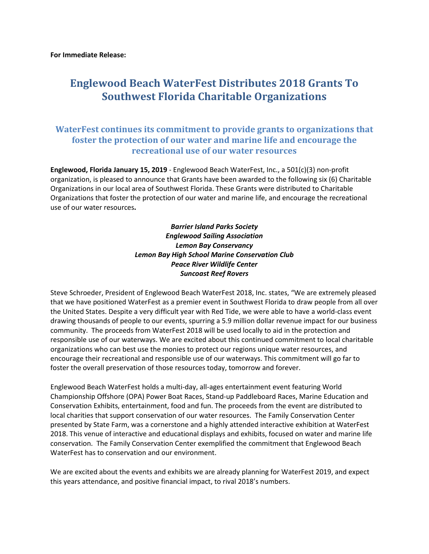## **Englewood Beach WaterFest Distributes 2018 Grants To Southwest Florida Charitable Organizations**

## **WaterFest continues its commitment to provide grants to organizations that foster the protection of our water and marine life and encourage the recreational use of our water resources**

**Englewood, Florida January 15, 2019** - Englewood Beach WaterFest, Inc., a 501(c)(3) non-profit organization, is pleased to announce that Grants have been awarded to the following six (6) Charitable Organizations in our local area of Southwest Florida. These Grants were distributed to Charitable Organizations that foster the protection of our water and marine life, and encourage the recreational use of our water resources**.** 

> *Barrier Island Parks Society Englewood Sailing Association Lemon Bay Conservancy Lemon Bay High School Marine Conservation Club Peace River Wildlife Center Suncoast Reef Rovers*

Steve Schroeder, President of Englewood Beach WaterFest 2018, Inc. states, "We are extremely pleased that we have positioned WaterFest as a premier event in Southwest Florida to draw people from all over the United States. Despite a very difficult year with Red Tide, we were able to have a world-class event drawing thousands of people to our events, spurring a 5.9 million dollar revenue impact for our business community. The proceeds from WaterFest 2018 will be used locally to aid in the protection and responsible use of our waterways. We are excited about this continued commitment to local charitable organizations who can best use the monies to protect our regions unique water resources, and encourage their recreational and responsible use of our waterways. This commitment will go far to foster the overall preservation of those resources today, tomorrow and forever.

Englewood Beach WaterFest holds a multi-day, all-ages entertainment event featuring World Championship Offshore (OPA) Power Boat Races, Stand-up Paddleboard Races, Marine Education and Conservation Exhibits, entertainment, food and fun. The proceeds from the event are distributed to local charities that support conservation of our water resources. The Family Conservation Center presented by State Farm, was a cornerstone and a highly attended interactive exhibition at WaterFest 2018. This venue of interactive and educational displays and exhibits, focused on water and marine life conservation. The Family Conservation Center exemplified the commitment that Englewood Beach WaterFest has to conservation and our environment.

We are excited about the events and exhibits we are already planning for WaterFest 2019, and expect this years attendance, and positive financial impact, to rival 2018's numbers.